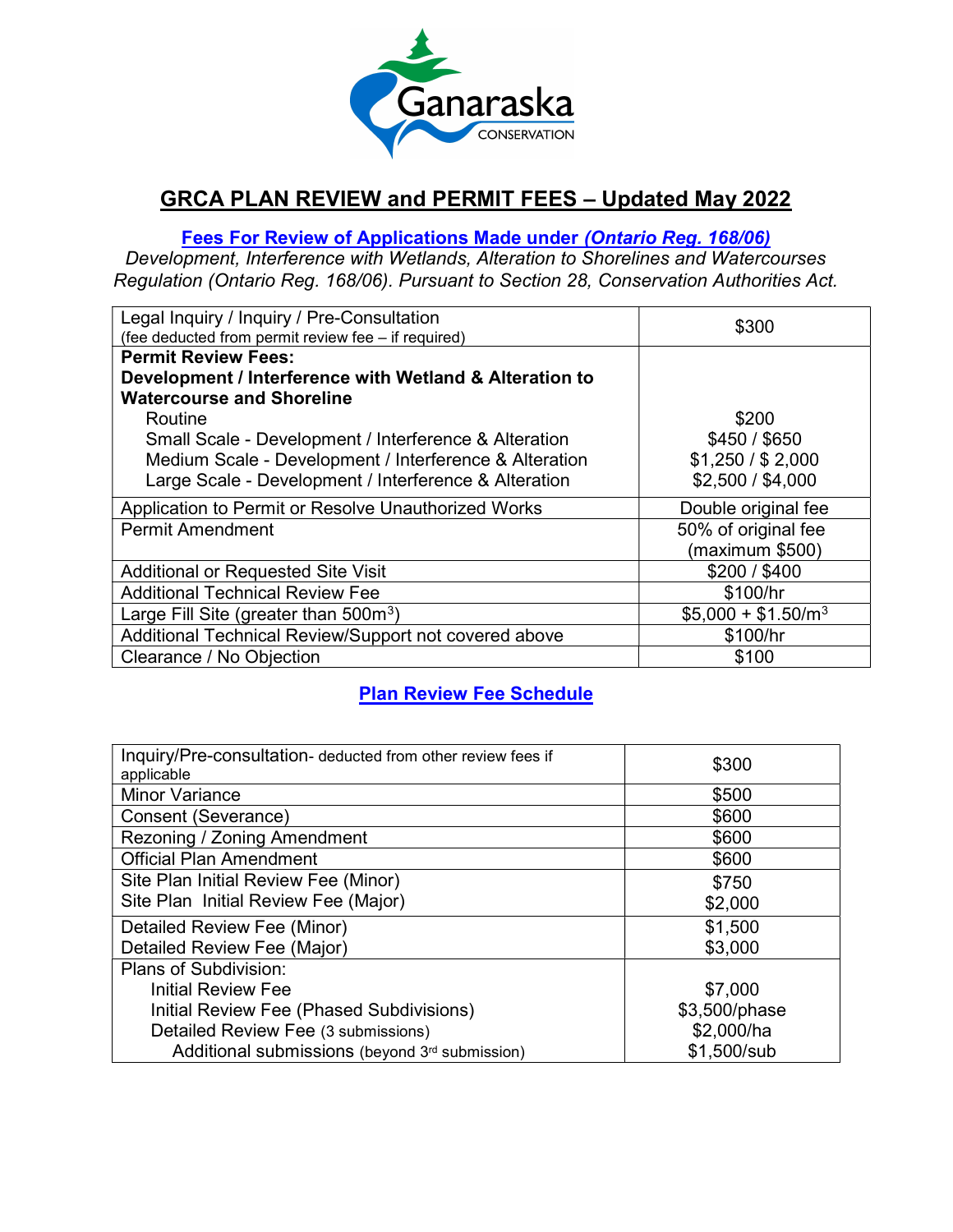

# GRCA PLAN REVIEW and PERMIT FEES – Updated May 2022

### Fees For Review of Applications Made under (Ontario Reg. 168/06)

Development, Interference with Wetlands, Alteration to Shorelines and Watercourses Regulation (Ontario Reg. 168/06). Pursuant to Section 28, Conservation Authorities Act.

| Legal Inquiry / Inquiry / Pre-Consultation<br>(fee deducted from permit review fee - if required) | \$300               |
|---------------------------------------------------------------------------------------------------|---------------------|
| <b>Permit Review Fees:</b>                                                                        |                     |
| Development / Interference with Wetland & Alteration to                                           |                     |
| <b>Watercourse and Shoreline</b>                                                                  |                     |
| Routine                                                                                           | \$200               |
| Small Scale - Development / Interference & Alteration                                             | \$450 / \$650       |
| Medium Scale - Development / Interference & Alteration                                            | \$1,250 / \$2,000   |
| Large Scale - Development / Interference & Alteration                                             | \$2,500 / \$4,000   |
| Application to Permit or Resolve Unauthorized Works                                               | Double original fee |
| <b>Permit Amendment</b>                                                                           | 50% of original fee |
|                                                                                                   | (maximum \$500)     |
| <b>Additional or Requested Site Visit</b>                                                         | \$200 / \$400       |
| <b>Additional Technical Review Fee</b>                                                            | \$100/hr            |
| Large Fill Site (greater than $500m^3$ )                                                          | $$5,000 + $1.50/m3$ |
| Additional Technical Review/Support not covered above                                             | \$100/hr            |
| Clearance / No Objection                                                                          | \$100               |

## Plan Review Fee Schedule

| Inquiry/Pre-consultation- deducted from other review fees if<br>applicable | \$300         |
|----------------------------------------------------------------------------|---------------|
| <b>Minor Variance</b>                                                      | \$500         |
| Consent (Severance)                                                        | \$600         |
| Rezoning / Zoning Amendment                                                | \$600         |
| <b>Official Plan Amendment</b>                                             | \$600         |
| Site Plan Initial Review Fee (Minor)                                       | \$750         |
| Site Plan Initial Review Fee (Major)                                       | \$2,000       |
| Detailed Review Fee (Minor)                                                | \$1,500       |
| Detailed Review Fee (Major)                                                | \$3,000       |
| Plans of Subdivision:                                                      |               |
| Initial Review Fee                                                         | \$7,000       |
| Initial Review Fee (Phased Subdivisions)                                   | \$3,500/phase |
| Detailed Review Fee (3 submissions)                                        | \$2,000/ha    |
| Additional submissions (beyond 3rd submission)                             | \$1,500/sub   |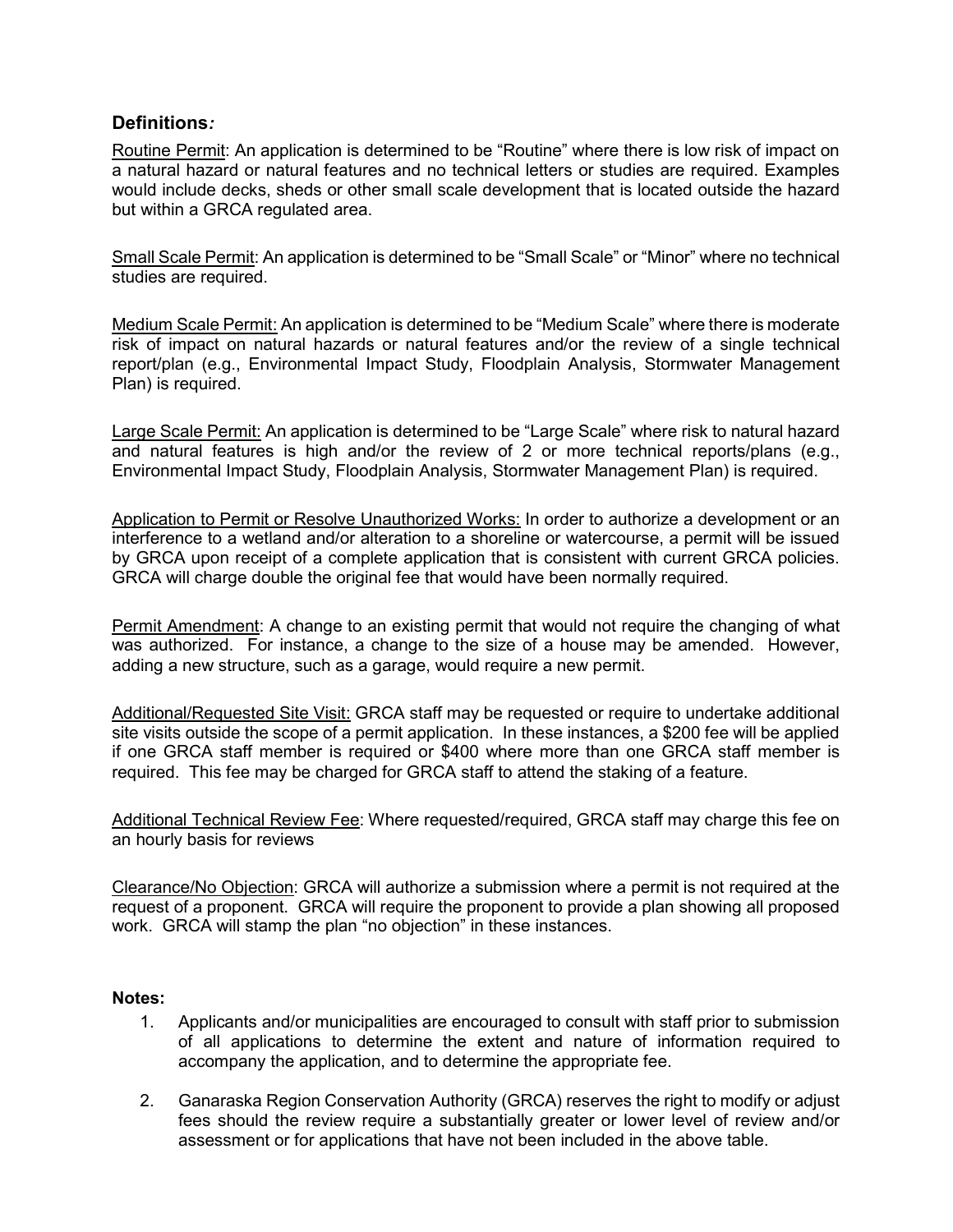#### Definitions:

Routine Permit: An application is determined to be "Routine" where there is low risk of impact on a natural hazard or natural features and no technical letters or studies are required. Examples would include decks, sheds or other small scale development that is located outside the hazard but within a GRCA regulated area.

Small Scale Permit: An application is determined to be "Small Scale" or "Minor" where no technical studies are required.

Medium Scale Permit: An application is determined to be "Medium Scale" where there is moderate risk of impact on natural hazards or natural features and/or the review of a single technical report/plan (e.g., Environmental Impact Study, Floodplain Analysis, Stormwater Management Plan) is required.

Large Scale Permit: An application is determined to be "Large Scale" where risk to natural hazard and natural features is high and/or the review of 2 or more technical reports/plans (e.g., Environmental Impact Study, Floodplain Analysis, Stormwater Management Plan) is required.

Application to Permit or Resolve Unauthorized Works: In order to authorize a development or an interference to a wetland and/or alteration to a shoreline or watercourse, a permit will be issued by GRCA upon receipt of a complete application that is consistent with current GRCA policies. GRCA will charge double the original fee that would have been normally required.

Permit Amendment: A change to an existing permit that would not require the changing of what was authorized. For instance, a change to the size of a house may be amended. However, adding a new structure, such as a garage, would require a new permit.

Additional/Requested Site Visit: GRCA staff may be requested or require to undertake additional site visits outside the scope of a permit application. In these instances, a \$200 fee will be applied if one GRCA staff member is required or \$400 where more than one GRCA staff member is required. This fee may be charged for GRCA staff to attend the staking of a feature.

Additional Technical Review Fee: Where requested/required, GRCA staff may charge this fee on an hourly basis for reviews

Clearance/No Objection: GRCA will authorize a submission where a permit is not required at the request of a proponent. GRCA will require the proponent to provide a plan showing all proposed work. GRCA will stamp the plan "no objection" in these instances.

#### Notes:

- 1. Applicants and/or municipalities are encouraged to consult with staff prior to submission of all applications to determine the extent and nature of information required to accompany the application, and to determine the appropriate fee.
- 2. Ganaraska Region Conservation Authority (GRCA) reserves the right to modify or adjust fees should the review require a substantially greater or lower level of review and/or assessment or for applications that have not been included in the above table.